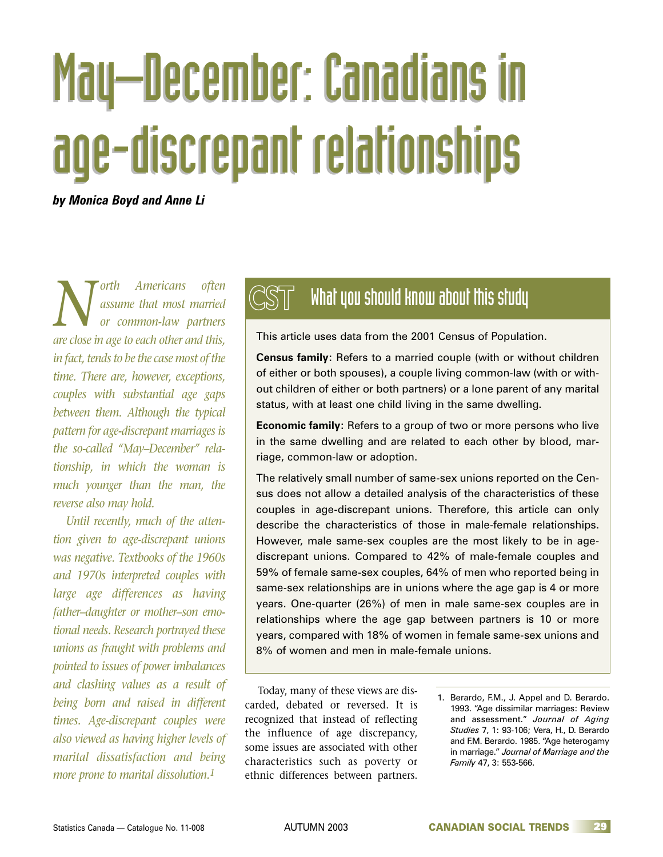# May–December: Canadians in May–December: Canadians in age-discrepant relationships age-discrepant relationships

*by Monica Boyd and Anne Li*

*North Americans often*<br>*or common-law partners*<br>*are close in age to each other and this assume that most married or common-law partners are close in age to each other and this, in fact, tends to be the case most of the time. There are, however, exceptions, couples with substantial age gaps between them. Although the typical pattern for age-discrepant marriages is the so-called "May–December" relationship, in which the woman is much younger than the man, the reverse also may hold.*

*Until recently, much of the attention given to age-discrepant unions was negative. Textbooks of the 1960s and 1970s interpreted couples with large age differences as having father–daughter or mother–son emotional needs. Research portrayed these unions as fraught with problems and pointed to issues of power imbalances and clashing values as a result of being born and raised in different times. Age-discrepant couples were also viewed as having higher levels of marital dissatisfaction and being more prone to marital dissolution.1*

# **What you should know about this study**

This article uses data from the 2001 Census of Population.

**Census family:** Refers to a married couple (with or without children of either or both spouses), a couple living common-law (with or without children of either or both partners) or a lone parent of any marital status, with at least one child living in the same dwelling.

**Economic family:** Refers to a group of two or more persons who live in the same dwelling and are related to each other by blood, marriage, common-law or adoption.

The relatively small number of same-sex unions reported on the Census does not allow a detailed analysis of the characteristics of these couples in age-discrepant unions. Therefore, this article can only describe the characteristics of those in male-female relationships. However, male same-sex couples are the most likely to be in agediscrepant unions. Compared to 42% of male-female couples and 59% of female same-sex couples, 64% of men who reported being in same-sex relationships are in unions where the age gap is 4 or more years. One-quarter (26%) of men in male same-sex couples are in relationships where the age gap between partners is 10 or more years, compared with 18% of women in female same-sex unions and 8% of women and men in male-female unions.

Today, many of these views are discarded, debated or reversed. It is recognized that instead of reflecting the influence of age discrepancy, some issues are associated with other characteristics such as poverty or ethnic differences between partners.

1. Berardo, F.M., J. Appel and D. Berardo. 1993. "Age dissimilar marriages: Review and assessment." *Journal of Aging Studies* 7, 1: 93-106; Vera, H., D. Berardo and F.M. Berardo. 1985. "Age heterogamy in marriage." *Journal of Marriage and the Family* 47, 3: 553-566.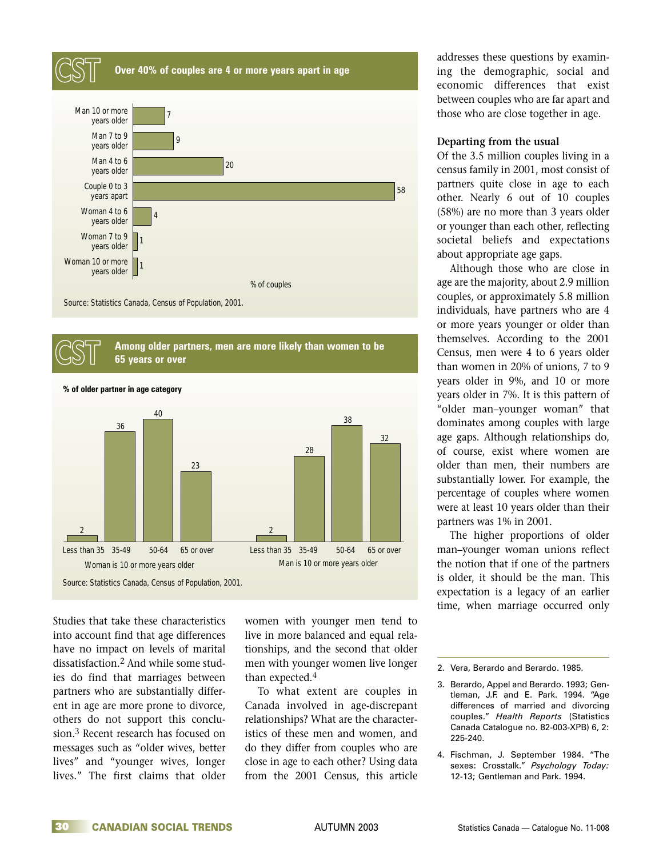



Studies that take these characteristics into account find that age differences have no impact on levels of marital dissatisfaction.2 And while some studies do find that marriages between partners who are substantially different in age are more prone to divorce, others do not support this conclusion.<sup>3</sup> Recent research has focused on messages such as "older wives, better lives" and "younger wives, longer lives." The first claims that older women with younger men tend to live in more balanced and equal relationships, and the second that older men with younger women live longer than expected.4

To what extent are couples in Canada involved in age-discrepant relationships? What are the characteristics of these men and women, and do they differ from couples who are close in age to each other? Using data from the 2001 Census, this article

addresses these questions by examining the demographic, social and economic differences that exist between couples who are far apart and those who are close together in age.

## **Departing from the usual**

Of the 3.5 million couples living in a census family in 2001, most consist of partners quite close in age to each other. Nearly 6 out of 10 couples (58%) are no more than 3 years older or younger than each other, reflecting societal beliefs and expectations about appropriate age gaps.

Although those who are close in age are the majority, about 2.9 million couples, or approximately 5.8 million individuals, have partners who are 4 or more years younger or older than themselves. According to the 2001 Census, men were 4 to 6 years older than women in 20% of unions, 7 to 9 years older in 9%, and 10 or more years older in 7%. It is this pattern of "older man–younger woman" that dominates among couples with large age gaps. Although relationships do, of course, exist where women are older than men, their numbers are substantially lower. For example, the percentage of couples where women were at least 10 years older than their partners was 1% in 2001.

The higher proportions of older man–younger woman unions reflect the notion that if one of the partners is older, it should be the man. This expectation is a legacy of an earlier time, when marriage occurred only

- 3. Berardo, Appel and Berardo. 1993; Gentleman, J.F. and E. Park. 1994. "Age differences of married and divorcing couples." *Health Reports* (Statistics Canada Catalogue no. 82-003-XPB) 6, 2: 225-240.
- 4. Fischman, J. September 1984. "The sexes: Crosstalk." *Psychology Today:* 12-13; Gentleman and Park. 1994.

<sup>2.</sup> Vera, Berardo and Berardo. 1985.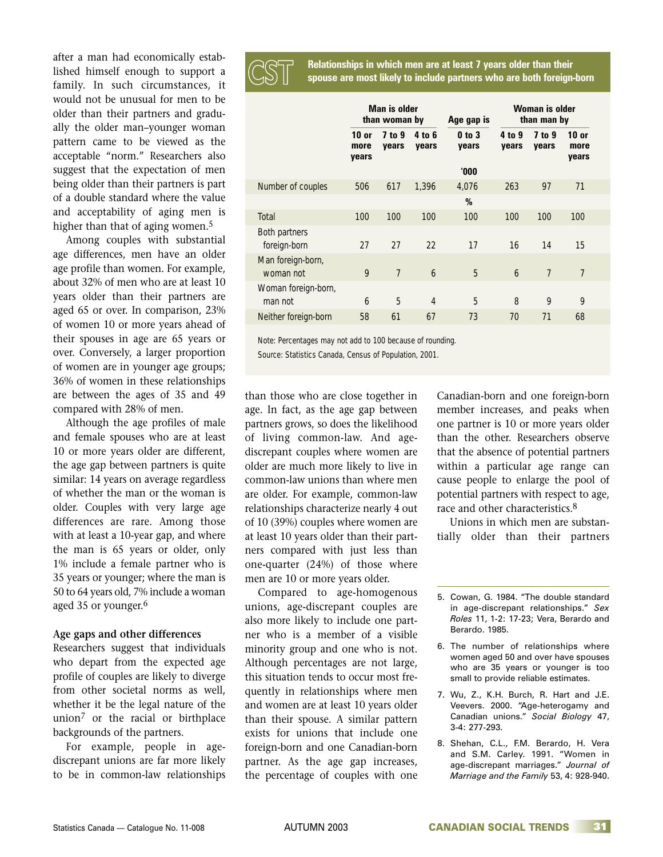after a man had economically established himself enough to support a family. In such circumstances, it would not be unusual for men to be older than their partners and gradually the older man–younger woman pattern came to be viewed as the acceptable "norm." Researchers also suggest that the expectation of men being older than their partners is part of a double standard where the value and acceptability of aging men is higher than that of aging women.<sup>5</sup>

Among couples with substantial age differences, men have an older age profile than women. For example, about 32% of men who are at least 10 years older than their partners are aged 65 or over. In comparison, 23% of women 10 or more years ahead of their spouses in age are 65 years or over. Conversely, a larger proportion of women are in younger age groups; 36% of women in these relationships are between the ages of 35 and 49 compared with 28% of men.

Although the age profiles of male and female spouses who are at least 10 or more years older are different, the age gap between partners is quite similar: 14 years on average regardless of whether the man or the woman is older. Couples with very large age differences are rare. Among those with at least a 10-year gap, and where the man is 65 years or older, only 1% include a female partner who is 35 years or younger; where the man is 50 to 64 years old, 7% include a woman aged 35 or younger.<sup>6</sup>

## **Age gaps and other differences**

Researchers suggest that individuals who depart from the expected age profile of couples are likely to diverge from other societal norms as well, whether it be the legal nature of the union<sup>7</sup> or the racial or birthplace backgrounds of the partners.

For example, people in agediscrepant unions are far more likely to be in common-law relationships **Relationships in which men are at least 7 years older than their CST spouse are most likely to include partners who are both foreign-born**

|                                | Man is older<br>than woman by |                 |                 | Age gap is          | Woman is older<br>than man by |                 |                          |
|--------------------------------|-------------------------------|-----------------|-----------------|---------------------|-------------------------------|-----------------|--------------------------|
|                                | $10$ or<br>more<br>years      | 7 to 9<br>years | 4 to 6<br>vears | $0$ to $3$<br>years | 4 to 9<br>vears               | 7 to 9<br>years | $10$ or<br>more<br>years |
|                                |                               |                 |                 | 000                 |                               |                 |                          |
| Number of couples              | 506                           | 617             | 1,396           | 4,076               | 263                           | 97              | 71                       |
|                                |                               |                 |                 | %                   |                               |                 |                          |
| Total                          | 100                           | 100             | 100             | 100                 | 100                           | 100             | 100                      |
| Both partners<br>foreign-born  | 27                            | 27              | 22              | 17                  | 16                            | 14              | 15                       |
| Man foreign-born,<br>woman not | 9                             | $\overline{7}$  | 6               | 5                   | 6                             | $\overline{7}$  | $\overline{7}$           |
| Woman foreign-born,<br>man not | 6                             | 5               | $\overline{4}$  | 5                   | 8                             | 9               | 9                        |
| Neither foreign-born           | 58                            | 61              | 67              | 73                  | 70                            | 71              | 68                       |

Note: Percentages may not add to 100 because of rounding.

Source: Statistics Canada, Census of Population, 2001.

than those who are close together in age. In fact, as the age gap between partners grows, so does the likelihood of living common-law. And agediscrepant couples where women are older are much more likely to live in common-law unions than where men are older. For example, common-law relationships characterize nearly 4 out of 10 (39%) couples where women are at least 10 years older than their partners compared with just less than one-quarter (24%) of those where men are 10 or more years older.

Compared to age-homogenous unions, age-discrepant couples are also more likely to include one partner who is a member of a visible minority group and one who is not. Although percentages are not large, this situation tends to occur most frequently in relationships where men and women are at least 10 years older than their spouse. A similar pattern exists for unions that include one foreign-born and one Canadian-born partner. As the age gap increases, the percentage of couples with one Canadian-born and one foreign-born member increases, and peaks when one partner is 10 or more years older than the other. Researchers observe that the absence of potential partners within a particular age range can cause people to enlarge the pool of potential partners with respect to age, race and other characteristics.<sup>8</sup>

Unions in which men are substantially older than their partners

- 7. Wu, Z., K.H. Burch, R. Hart and J.E. Veevers. 2000. "Age-heterogamy and Canadian unions." *Social Biology* 47, 3-4: 277-293.
- 8. Shehan, C.L., F.M. Berardo, H. Vera and S.M. Carley. 1991. "Women in age-discrepant marriages." *Journal of Marriage and the Family* 53, 4: 928-940.

<sup>5.</sup> Cowan, G. 1984. "The double standard in age-discrepant relationships." *Sex Roles* 11, 1-2: 17-23; Vera, Berardo and Berardo. 1985.

<sup>6.</sup> The number of relationships where women aged 50 and over have spouses who are 35 years or younger is too small to provide reliable estimates.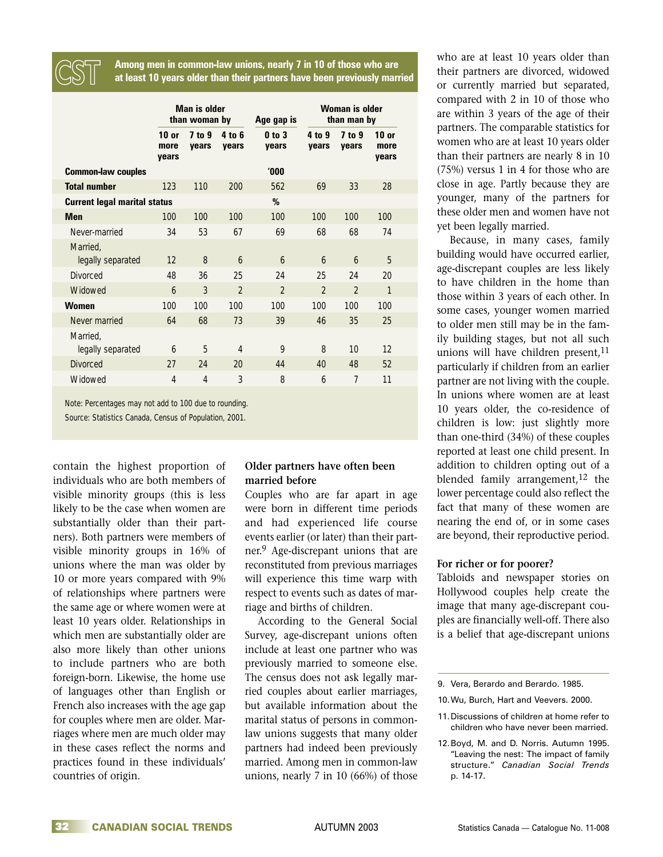**Among men in common-law unions, nearly 7 in 10 of those who are CST at least 10 years older than their partners have been previously married**

|                                     | Man is older<br>than woman by |                 |                 | Age gap is          | Woman is older<br>than man by |                 |                          |
|-------------------------------------|-------------------------------|-----------------|-----------------|---------------------|-------------------------------|-----------------|--------------------------|
|                                     | $10$ or<br>more<br>years      | 7 to 9<br>vears | 4 to 6<br>vears | $0$ to $3$<br>vears | 4 to 9<br>vears               | 7 to 9<br>vears | $10$ or<br>more<br>vears |
| <b>Common-law couples</b>           |                               |                 |                 | '000                |                               |                 |                          |
| <b>Total number</b>                 | 123                           | 110             | 200             | 562                 | 69                            | 33              | 28                       |
| <b>Current legal marital status</b> |                               |                 |                 | %                   |                               |                 |                          |
| <b>Men</b>                          | 100                           | 100             | 100             | 100                 | 100                           | 100             | 100                      |
| Never-married                       | 34                            | 53              | 67              | 69                  | 68                            | 68              | 74                       |
| Married,<br>legally separated       | 12                            | 8               | 6               | $\mathfrak b$       | $\overline{6}$                | $\mathfrak b$   | 5                        |
| <b>Divorced</b>                     | 48                            | 36              | 25              | 24                  | 25                            | 24              | 20                       |
| Widowed                             | 6                             | 3               | $\mathfrak{p}$  | $\mathfrak{p}$      | $\mathfrak{D}$                | $\mathfrak{p}$  | 1                        |
| <b>Women</b>                        | 100                           | 100             | 100             | 100                 | 100                           | 100             | 100                      |
| Never married                       | 64                            | 68              | 73              | 39                  | 46                            | 35              | 25                       |
| Married,<br>legally separated       | $\mathfrak b$                 | 5               | 4               | 9                   | 8                             | 10              | 12                       |
| <b>Divorced</b>                     | 27                            | 24              | 20              | 44                  | 40                            | 48              | 52                       |
| Widowed                             | 4                             | $\overline{4}$  | 3               | 8                   | 6                             | 7               | 11                       |

Note: Percentages may not add to 100 due to rounding. Source: Statistics Canada, Census of Population, 2001.

contain the highest proportion of individuals who are both members of visible minority groups (this is less likely to be the case when women are substantially older than their partners). Both partners were members of visible minority groups in 16% of unions where the man was older by 10 or more years compared with 9% of relationships where partners were the same age or where women were at least 10 years older. Relationships in which men are substantially older are also more likely than other unions to include partners who are both foreign-born. Likewise, the home use of languages other than English or French also increases with the age gap for couples where men are older. Marriages where men are much older may in these cases reflect the norms and practices found in these individuals' countries of origin.

# **Older partners have often been married before**

Couples who are far apart in age were born in different time periods and had experienced life course events earlier (or later) than their partner.9 Age-discrepant unions that are reconstituted from previous marriages will experience this time warp with respect to events such as dates of marriage and births of children.

According to the General Social Survey, age-discrepant unions often include at least one partner who was previously married to someone else. The census does not ask legally married couples about earlier marriages, but available information about the marital status of persons in commonlaw unions suggests that many older partners had indeed been previously married. Among men in common-law unions, nearly 7 in 10 (66%) of those

who are at least 10 years older than their partners are divorced, widowed or currently married but separated, compared with 2 in 10 of those who are within 3 years of the age of their partners. The comparable statistics for women who are at least 10 years older than their partners are nearly 8 in 10 (75%) versus 1 in 4 for those who are close in age. Partly because they are younger, many of the partners for these older men and women have not yet been legally married.

Because, in many cases, family building would have occurred earlier, age-discrepant couples are less likely to have children in the home than those within 3 years of each other. In some cases, younger women married to older men still may be in the family building stages, but not all such unions will have children present, $11$ particularly if children from an earlier partner are not living with the couple. In unions where women are at least 10 years older, the co-residence of children is low: just slightly more than one-third (34%) of these couples reported at least one child present. In addition to children opting out of a blended family arrangement,  $12$  the lower percentage could also reflect the fact that many of these women are nearing the end of, or in some cases are beyond, their reproductive period.

# **For richer or for poorer?**

Tabloids and newspaper stories on Hollywood couples help create the image that many age-discrepant couples are financially well-off. There also is a belief that age-discrepant unions

<sup>9.</sup> Vera, Berardo and Berardo. 1985.

<sup>10.</sup>Wu, Burch, Hart and Veevers. 2000.

<sup>11.</sup>Discussions of children at home refer to children who have never been married.

<sup>12.</sup>Boyd, M. and D. Norris. Autumn 1995. "Leaving the nest: The impact of family structure." *Canadian Social Trends* p. 14-17.